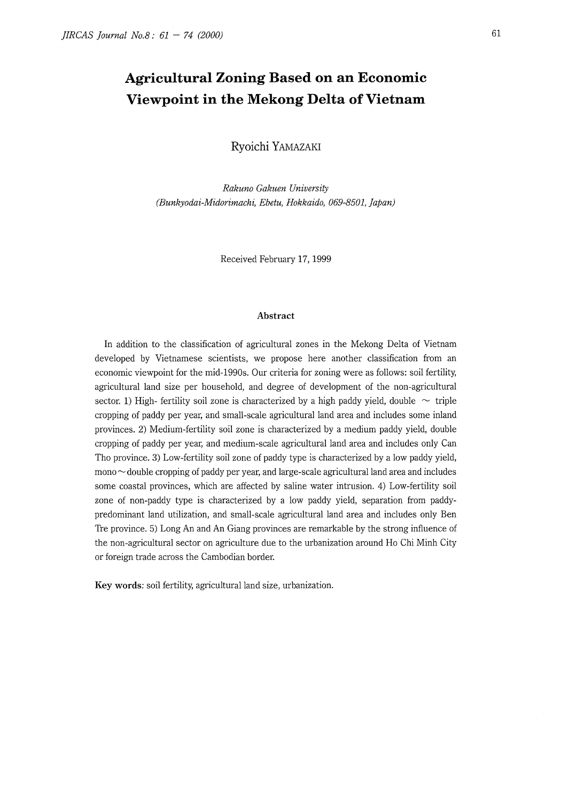# **Agricultural Zoning Based on an Economic Viewpoint in the Mekong Delta of Vietnam**

**Ryoichi** YAMAZAKI

*Rakuno Gakuen University (Bunkyodai-Midorimachi, Ebetu, Hokkaido, 069-8501, Japan)* 

Received February 17, 1999

#### **Abstract**

In addition to the classification of agricultural zones in the Mekong Delta of Vietnam developed by Vietnamese scientists, we propose here another classification from an economic viewpoint for the mid-1990s. Our criteria for zoning were as follows: soil fertility, agricultural land size per household, and degree of development of the non-agricultural sector. 1) High- fertility soil zone is characterized by a high paddy yield, double  $\sim$  triple cropping of paddy per year, and small-scale agricultural land area and includes some inland provinces. 2) Medium-fertility soil zone is characterized by a medium paddy yield, double cropping of paddy per year, and medium-scale agricultural land area and includes only Can Tho province. 3) Low-fertility soil zone of paddy type is characterized by a low paddy yield,  $\text{mono} \sim$  double cropping of paddy per year, and large-scale agricultural land area and includes some coastal provinces, which are affected by saline water intrusion. 4) Low-fertility soil zone of non-paddy type is characterized by a low paddy yield, separation from paddypredominant land utilization, and small-scale agricultural land area and includes only Ben Tre province. 5) Long An and An Giang provinces are remarkable by the strong influence of the non-agricultural sector on agriculture due to the urbanization around Ho Chi Minh City or foreign trade across the Cambodian border.

Key words: soil fertility, agricultural land size, urbanization.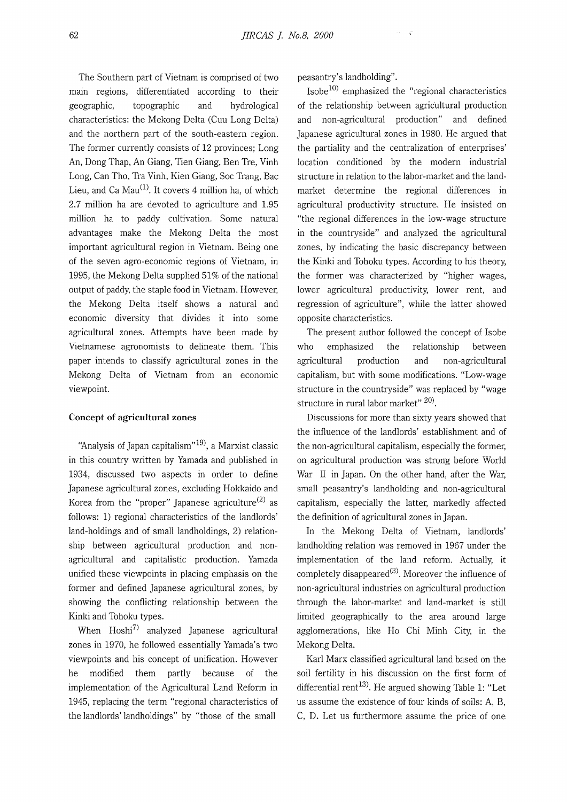The Southern part of Vietnam is comprised of two main regions, differentiated according to their geographic, topographic and hydrological characteristics: the Mekong Delta (Cuu Long Delta) and the northern part of the south-eastern region. The former currently consists of 12 provinces; Long An, Dong Thap, An Giang, Tien Giang, Ben Tre, Vinh Long, Can Tho, Tra Vinh, Kien Giang, Soc Trang, Bae Lieu, and Ca  $Mau^{(1)}$ . It covers 4 million ha, of which 2.7 million ha are devoted to agriculture and 1.95 million ha to paddy cultivation. Some natural advantages make the Mekong Delta the most important agricultural region in Vietnam. Being one of the seven agro-economic regions of Vietnam, in 1995, the Mekong Delta supplied 51% of the national output of paddy, the staple food in Vietnam. However, the Mekong Delta itself shows a natural and economic diversity that divides it into some agricultural zones. Attempts have been made by Vietnamese agronomists to delineate them. This paper intends to classify agricultural zones in the Mekong Delta of Vietnam from an economic viewpoint.

#### **Concept of agricultural zones**

"Analysis of Japan capitalism"<sup>19</sup>, a Marxist classic in this country written by Yamada and published in 1934, discussed two aspects in order to define Japanese agricultural zones, excluding Hokkaido and Korea from the "proper" Japanese agriculture<sup>(2)</sup> as follows: 1) regional characteristics of the landlords' land-holdings and of small landholdings, 2) relationship between agricultural production and nonagricultural and capitalistic production. Yamada unified these viewpoints in placing emphasis on the former and defined Japanese agricultural zones, by showing the conflicting relationship between the Kinki and Tohoku types.

When  $Hosh<sup>7</sup>$  analyzed Japanese agricultural zones in 1970, he followed essentially Yamada's two viewpoints and his concept of unification. However he modified them partly because of the implementation of the Agricultural Land Reform in 1945, replacing the term "regional characteristics of the landlords' landholdings" by "those of the small

peasantry's landholding".

 $Isobe<sup>10</sup>$  emphasized the "regional characteristics of the relationship between agricultural production and non-agricultural production" and defined Japanese agricultural zones in 1980. He argued that the partiality and the centralization of enterprises' location conditioned by the modern industrial structure in relation to the labor-market and the landmarket determine the regional differences in agricultural productivity structure. He insisted on "the regional differences in the low-wage structure in the countryside" and analyzed the agricultural zones, by indicating the basic discrepancy between the Kinki and Tohoku types. According to his theory, the former was characterized by "higher wages, lower agricultural productivity, lower rent, and regression of agriculture", while the latter showed opposite characteristics.

The present author followed the concept of Isobe who emphasized the relationship between agricultural production and non-agricultural capitalism, but with some modifications. "Low-wage structure in the countryside" was replaced by "wage structure in rural labor market"  $20$ .

Discussions for more than sixty years showed that the influence of the landlords' establishment and of the non-agricultural capitalism, especially the former, on agricultural production was strong before World War II in Japan. On the other hand, after the War, small peasantry's landholding and non-agricultural capitalism, especially the latter, markedly affected the definition of agricultural zones in Japan.

In the Mekong Delta of Vietnam, landlords' landholding relation was removed in 1967 under the implementation of the land reform. Actually, it completely disappeared<sup>(3)</sup>. Moreover the influence of non-agricultural industries on agricultural production through the labor-market and land-market is still limited geographically to the area around large agglomerations, like Ho Chi Minh City, in the Mekong Delta.

Karl Marx classified agricultural land based on the soil fertility in his discussion on the first form of differential rent<sup>13)</sup>. He argued showing Table 1: "Let us assume the existence of four kinds of soils: A, B, C, D. Let us furthermore assume the price of one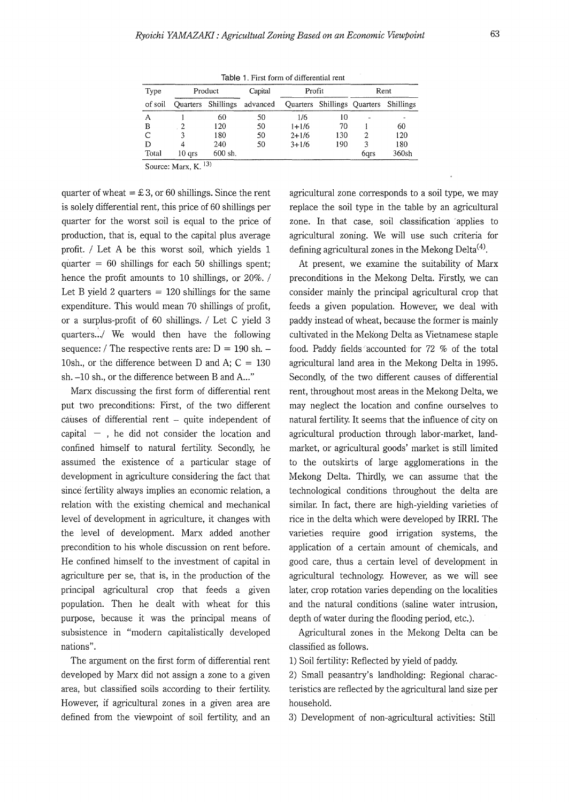Table 1. First form of differential rent

| Type    |          | Product | Capital                     | Profit    |                                       |      | Rent  |
|---------|----------|---------|-----------------------------|-----------|---------------------------------------|------|-------|
| of soil |          |         | Quarters Shillings advanced |           | Quarters Shillings Quarters Shillings |      |       |
| А       |          | 60      | 50                          | 1/6       | 10                                    |      |       |
| в       |          | 120     | 50                          | $1+1/6$   | 70                                    |      | 60    |
| C       |          | 180     | 50                          | $2+1/6$   | 130                                   | 2    | 120   |
| D       |          | 240     | 50                          | $3 + 1/6$ | 190                                   | 3    | 180   |
| Total   | $10$ qrs | 600 sh. |                             |           |                                       | 6qrs | 360sh |

Source: Marx,  $K$ ,  $^{13)}$ 

quarter of wheat =  $\text{\pounds} 3$ , or 60 shillings. Since the rent is solely differential rent, this price of 60 shillings per quarter for the worst soil is equal to the price of production, that is, equal to the capital plus average profit. / Let A be this worst soil, which yields 1 quarter  $= 60$  shillings for each 50 shillings spent; hence the profit amounts to 10 shillings, or 20%. / Let B yield 2 quarters  $= 120$  shillings for the same expenditure. This would mean 70 shillings of profit, or a surplus-profit of 60 shillings. / Let C yield 3 quarters.../ We would then have the following sequence: / The respective rents are:  $D = 190$  sh. -10sh., or the difference between D and A;  $C = 130$ sh.  $-10$  sh., or the difference between B and A..."

Marx discussing the first form of differential rent put two preconditions: First, of the two different causes of differential rent - quite independent of capital  $-$ , he did not consider the location and confined himself to natural fertility. Secondly, he assumed the existence of a particular stage of development in agriculture considering the fact that since fertility always implies an economic relation, a relation with the existing chemical and mechanical level of development in agriculture, it changes with the level of development. Marx added another precondition to his whole discussion on rent before. He confined himself to the investment of capital in agriculture per se, that is, in the production of the principal agricultural crop that feeds a given population. Then he dealt with wheat for this purpose, because it was the principal means of subsistence in "modern capitalistically developed nations".

The argument on the first form of differential rent developed by Marx did not assign a zone to a given area, but classified soils according to their fertility. However, if agricultural zones in a given area are defined from the viewpoint of soil fertility, and an

agricultural zone corresponds to a soil type, we may replace the soil type in the table by an agricultural zone. In that case, soil classification applies to agricultural zoning. We will use such criteria for defining agricultural zones in the Mekong Delta<sup> $(4)$ </sup>.

At present, we examine the suitability of Marx preconditions in the Mekong Delta. Firstly, we can consider mainly the principal agricultural crop that feeds a given population. However, we deal with paddy instead of wheat, because the former is mainly cultivated in the Mek'ong Delta as Vietnamese staple food. Paddy fields accounted for 72 % of the total agricultural land area in the Mekong Delta in 1995. Secondly, of the two different causes of differential rent, throughout most areas in the Mekong Delta, we may neglect the location and confine ourselves to natural fertility. It seems that the influence of city on agricultural production through labor-market, landmarket, or agricultural goods' market is still limited to the outskirts of large agglomerations in the Mekong Delta. Thirdly, we can assume that the technological conditions throughout the delta are similar. In fact, there are high-yielding varieties of rice in the delta which were developed by IRRL The varieties require good irrigation systems, the application of a certain amount of chemicals, and good care, thus a certain level of development in agricultural technology. However, as we will see later, crop rotation varies depending on the localities and the natural conditions (saline water intrusion, depth of water during the flooding period, etc.).

Agricultural zones in the Mekong Delta can be classified as follows.

1) Soil fertility: Reflected by yield of paddy.

2) Small peasantry's landholding: Regional characteristics are reflected by the agricultural land size per household.

3) Development of non-agricultural activities: Still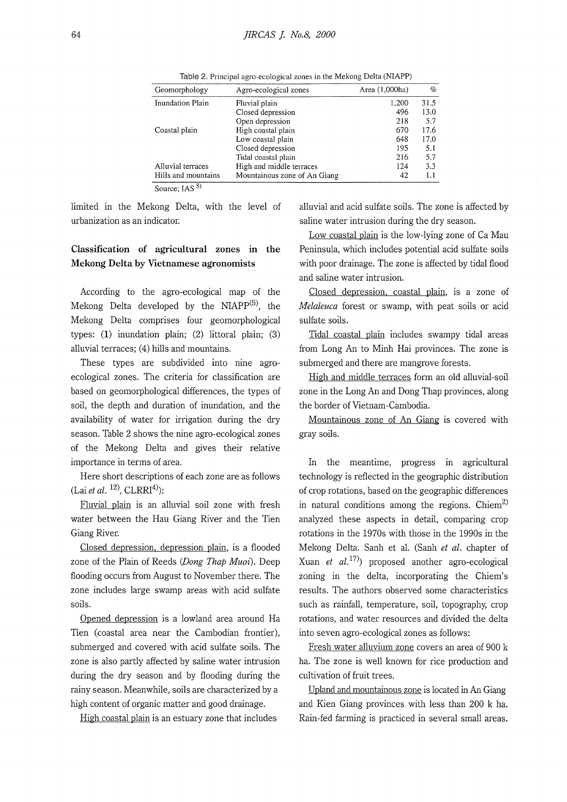| Geomorphology       | Agro-ecological zones        | Area (1,000ha) | %    |
|---------------------|------------------------------|----------------|------|
| Inundation Plain    | Fluvial plain                | 1,200          | 31.5 |
|                     | Closed depression            | 496            | 13.0 |
|                     | Open depression              | 218            | 5.7  |
| Coastal plain       | High coastal plain           | 670            | 17.6 |
|                     | Low coastal plain            | 648            | 17.0 |
|                     | Closed depression            | 195            | 5.1  |
|                     | Tidal coastal plain          | 216            | 5.7  |
| Alluvial terraces   | High and middle terraces     | 124            | 3.3  |
| Hills and mountains | Mountainous zone of An Giang | 42             | 1.1  |
| $\sim$              |                              |                |      |

Table 2. Principal agro-ecological zones in the Mekong Delta (NIAPP)

Source; IAS  $8$ )

limited in the Mekong Delta, with the level of urbanization as an indicator.

## **Classification of agricultural zones in the Mekong Delta by Vietnamese agronomists**

According to the agro-ecological map of the Mekong Delta developed by the NIAP $P^{(5)}$ , the Mekong Delta comprises four geomorphological types: **(1)** inundation plain; (2) littoral plain; (3) alluvial terraces; (4) hills and mountains.

These types are subdivided into nine agroecological zones. The criteria for classification are based on geomorphological differences, the types of soil, the depth and duration of inundation, and the availability of water for irrigation during the dry season. Table 2 shows the nine agro-ecological zones of the Mekong Delta and gives their relative importance in terms of area.

Here short descriptions of each zone are as follows (Lai et al. <sup>12)</sup>, CLRRI<sup>4)</sup>):

Fluvial plain is an alluvial soil zone with fresh water between the Hau Giang River and the Tien Giang River.

Closed depression. depression plain, is a flooded zone of the Plain of Reeds *(Dong Thap Muoi).* Deep flooding occurs from August to November there. The zone includes large swamp areas with acid sulfate soils.

Opened depression is a lowland area around Ha Tien (coastal area near the Cambodian frontier), submerged and covered with acid sulfate soils. The zone is also partly affected by saline water intrusion during the dry season and by flooding during the rainy season. Meanwhile, soils are characterized by a high content of organic matter and good drainage.

High coastal plain is an estuary zone that includes

alluvial and acid sulfate soils. The zone is affected by saline water intrusion during the dry season.

Low coastal plain is the low-lying zone of Ca Mau Peninsula, which includes potential acid sulfate soils with poor drainage. The zone is affected by tidal flood and saline water intrusion.

Closed depression. coastal plain, is a zone of *Melaleuca* forest or swamp, with peat soils or acid sulfate soils.

Tidal coastal plain includes swampy tidal areas from Long An to Minh Hai provinces. The zone is submerged and there are mangrove forests.

High and middle terraces form an old alluvial-soil zone in the Long An and Dong Thap provinces, along the border of Vietnam-Cambodia.

Mountainous zone of An Giang is covered with gray soils.

In the meantime, progress in agricultural technology is reflected in the geographic distribution of crop rotations, based on the geographic differences in natural conditions among the regions. Chiem<sup>2)</sup> analyzed these aspects in detail, comparing crop rotations in the 1970s with those in the 1990s in the Mekong Delta. Sanh et al. (Sanh *et al.* chapter of Xuan *et al.*<sup>17)</sup> proposed another agro-ecological zoning in the delta, incorporating the Chiem's results. The authors observed some characteristics such as rainfall, temperature, soil, topography, crop rotations, and water resources and divided the delta into seven agro-ecological zones as follows:

Fresh water alluvium zone covers an area of 900 k ha. The zone is well known for rice production and cultivation of fruit trees.

Upland and mountainous zone is located in An Giang and Kien Giang provinces with less than 200 k ha. Rain-fed farming is practiced in several small areas.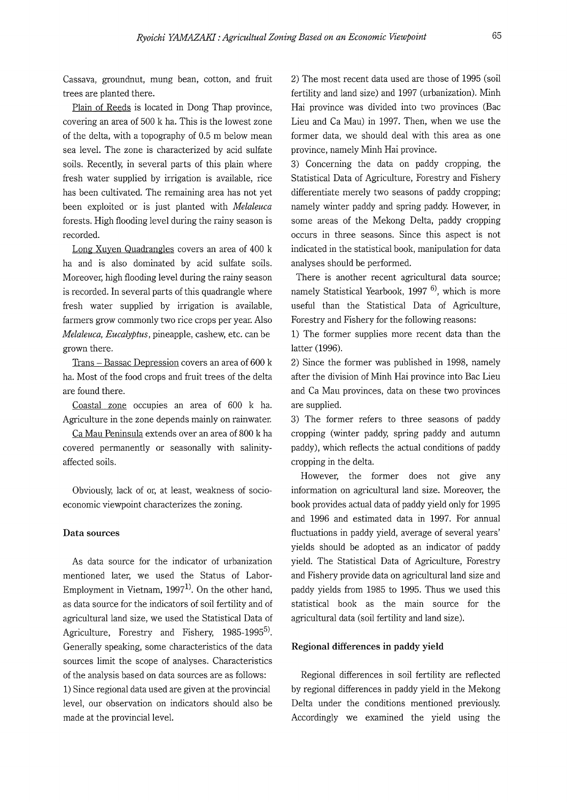Cassava, groundnut, mung bean, cotton, and fruit trees are planted there.

Plain of Reeds is located in Dong Thap province, covering an area of 500 k ha. This is the lowest zone of the delta, with a topography of 0.5 m below mean sea level. The zone is characterized by acid sulfate soils. Recently, in several parts of this plain where fresh water supplied by irrigation is available, rice has been cultivated. The remaining area has not yet been exploited or is just planted with *Melaleuca*  forests. High flooding level during the rainy season is recorded.

Long Xuyen Quadrangles covers an area of 400 k ha and is also dominated by acid sulfate soils. Moreover, high flooding level during the rainy season is recorded. In several parts of this quadrangle where fresh water supplied by irrigation is available, farmers grow commonly two rice crops per year. Also *Melaleuca, Eucalyptus,* pineapple, cashew, etc. can be grown there.

Trans - Bassac Depression covers an area of 600 k ha. Most of the food crops and fruit trees of the delta are found there.

Coastal zone occupies an area of 600 k ha. Agriculture in the zone depends mainly on rainwater.

Ca Mau Peninsula extends over an area of 800 k ha covered permanently or seasonally with salinityaffected soils.

Obviously, lack of or, at least, weakness of socioeconomic viewpoint characterizes the zoning.

#### **Data sources**

As data source for the indicator of urbanization mentioned later, we used the Status of Labor-Employment in Vietnam,  $1997<sup>1</sup>$ . On the other hand, as data source for the indicators of soil fertility and of agricultural land size, we used the Statistical Data of Agriculture, Forestry and Fishery, 1985-1995<sup>5)</sup>. Generally speaking, some characteristics of the data sources limit the scope of analyses. Characteristics of the analysis based on data sources are as follows: 1) Since regional data used are given at the provincial level, our observation on indicators should also be made at the provincial level.

2) The most recent data used are those of 1995 (soil fertility and land size) and 1997 (urbanization). Minh Hai province was divided into two provinces (Bae Lieu and Ca Mau) in 1997. Then, when we use the former data, we should deal with this area as one province, namely Minh Hai province.

3) Concerning the data on paddy cropping, the Statistical Data of Agriculture, Forestry and Fishery differentiate merely two seasons of paddy cropping; namely winter paddy and spring paddy. However, in some areas of the Mekong Delta, paddy cropping occurs in three seasons. Since this aspect is not indicated in the statistical book, manipulation for data analyses should be performed.

There is another recent agricultural data source; namely Statistical Yearbook, 1997<sup>6</sup>, which is more useful than the Statistical Data of Agriculture, Forestry and Fishery for the following reasons:

1) The former supplies more recent data than the latter (1996).

2) Since the former was published in 1998, namely after the division of Minh Hai province into Bae Lieu and Ca Mau provinces, data on these two provinces are supplied.

3) The former refers to three seasons of paddy cropping (winter paddy, spring paddy and autumn paddy), which reflects the actual conditions of paddy cropping in the delta.

However, the former does not give any information on agricultural land size. Moreover, the book provides actual data of paddy yield only for 1995 and 1996 and estimated data in 1997. For annual fluctuations in paddy yield, average of several years' yields should be adopted as an indicator of paddy yield. The Statistical Data of Agriculture, Forestry and Fishery provide data on agricultural land size and paddy yields from 1985 to 1995. Thus we used this statistical book as the main source for the agricultural data (soil fertility and land size).

#### **Regional differences in paddy yield**

Regional differences in soil fertility are reflected by regional differences in paddy yield in the Mekong Delta under the conditions mentioned previously. Accordingly we examined the yield using the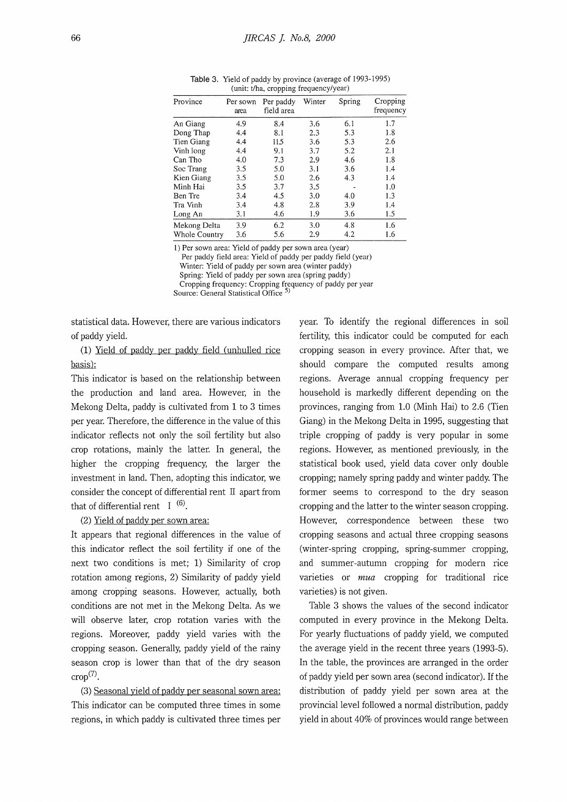|                      | area | field area | Winter | Spring | Cropping<br>frequency |
|----------------------|------|------------|--------|--------|-----------------------|
| An Giang             | 4.9  | 8.4        | 3.6    | 6.1    | 1.7                   |
| Dong Thap            | 4.4  | 8.1        | 2.3    | 5.3    | 1.8                   |
| Tien Giang           | 4.4  | 115        | 3.6    | 5.3    | 2.6                   |
| Vinh long            | 4.4  | 9.1        | 3.7    | 5.2    | 2.1                   |
| Can Tho              | 4.0  | 7.3        | 2.9    | 4.6    | 1.8                   |
| Soc Trang            | 3.5  | 5.0        | 3.1    | 3.6    | 1.4                   |
| Kien Giang           | 3.5  | 5.0        | 2.6    | 4.3    | 1.4                   |
| Minh Hai             | 3.5  | 3.7        | 3.5    |        | 1.0                   |
| Ben Tre              | 3.4  | 4.5        | 3.0    | 4.0    | 1.3                   |
| Tra Vinh             | 3.4  | 4.8        | 2.8    | 3.9    | 1.4                   |
| Long An              | 3.1  | 4.6        | 1.9    | 3.6    | 1.5                   |
| Mekong Delta         | 3.9  | 6.2        | 3.0    | 4.8    | 1.6                   |
| <b>Whole Country</b> | 3.6  | 5.6        | 2.9    | 4.2    | 1.6                   |

Table 3. Yield of paddy by province (average of 1993-1995) (unit: t/ha, cropping frequency/year)

1) Per sown area: Yield of paddy per sown area (year)

Per paddy field area: Yield of paddy per paddy field (year)

Winter: Yield of paddy per sown area (winter paddy)

Spring: Yield of paddy per sown area (spring paddy) Cropping frequency: Cropping frequency of paddy per year

Source: General Statistical Office<sup>5)</sup>

statistical data. However, there are various indicators of paddy yield.

(1) Yield of paddy per paddy field (unhulled rice basis):

This indicator is based on the relationship between the production and land area. However, in the Mekong Delta, paddy is cultivated from 1 to 3 times per year. Therefore, the difference in the value of this indicator reflects not only the soil fertility but also crop rotations, mainly the latter. In general, the higher the cropping frequency, the larger the investment in land. Then, adopting this indicator, we consider the concept of differential rent II apart from that of differential rent  $I^{(6)}$ .

## (2) Yield of paddy per sown area:

It appears that regional differences in the value of this indicator reflect the soil fertility if one of the next two conditions is met; 1) Similarity of crop rotation among regions, 2) Similarity of paddy yield among cropping seasons. However, actually, both conditions are not met in the Mekong Delta. As we will observe later, crop rotation varies with the regions. Moreover, paddy yield varies with the cropping season. Generally, paddy yield of the rainy season crop is lower than that of the dry season  $\text{crop}^{(7)}$ .

(3) Seasonal yield of paddy per seasonal sown area: This indicator can be computed three times in some regions, in which paddy is cultivated three times per year. To identify the regional differences in soil fertility, this indicator could be computed for each cropping season in every province. After that, we should compare the computed results among regions. Average annual cropping frequency per household is markedly different depending on the provinces, ranging from 1.0 (Minh Hai) to 2.6 (Tien Giang) in the Mekong Delta in 1995, suggesting that triple cropping of paddy is very popular in some regions. However, as mentioned previously, in the statistical book used, yield data cover only double cropping; namely spring paddy and winter paddy. The former seems to correspond to the dry season cropping and the latter to the winter season cropping. However, correspondence between these two cropping seasons and actual three cropping seasons (winter-spring cropping, spring-summer cropping, and summer-autumn cropping for modern rice varieties or mua cropping for traditional rice varieties) is not given.

Table 3 shows the values of the second indicator computed in every province in the Mekong Delta. For yearly fluctuations of paddy yield, we computed the average yield in the recent three years (1993-5). In the table, the provinces are arranged in the order of paddy yield per sown area (second indicator). If the distribution of paddy yield per sown area at the provincial level followed a normal distribution, paddy yield in about 40% of provinces would range between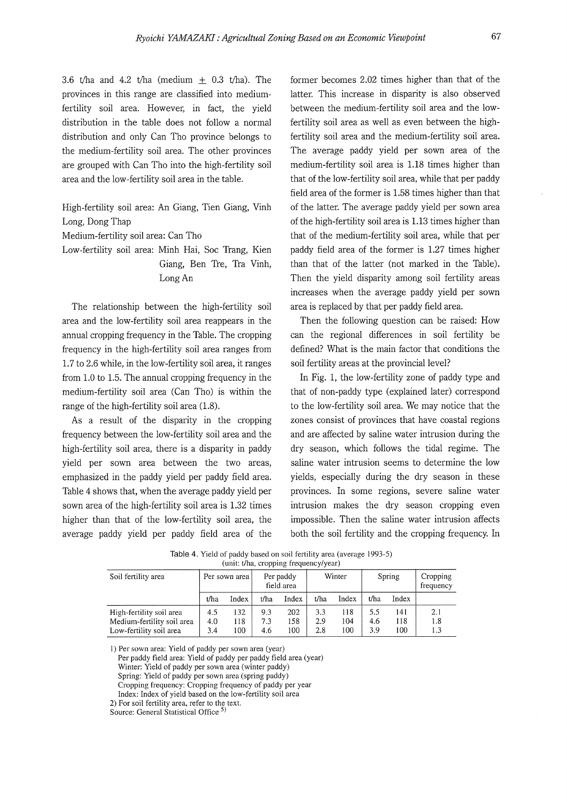3.6 t/ha and 4.2 t/ha (medium  $\pm$  0.3 t/ha). The provinces in this range are classified into mediumfertility soil area. However, in fact, the yield distribution in the table does not follow a normal distribution and only Can Tho province belongs to the medium-fertility soil area. The other provinces are grouped with Can Tho into the high-fertility soil area and the low-fertility soil area in the table.

High-fertility soil area: An Giang, Tien Giang, Vinh Long, Dong Thap Medium-fertility soil area: Can Tho Low-fertility soil area: Minh Hai, Soc Trang, Kien Giang, Ben Tre, Tra Vinh,

Long An

The relationship between the high-fertility soil area and the low-fertility soil area reappears in the annual cropping frequency in the Table. The cropping frequency in the high-fertility soil area ranges from 1.7 to 2.6 while, in the low-fertility soil area, it ranges from 1.0 to 1.5. The annual cropping frequency in the medium-fertility soil area (Can Tho) is within the range of the high-fertility soil area (1.8).

As a result of the disparity in the cropping frequency between the low-fertility soil area and the high-fertility soil area, there is a disparity in paddy yield per sown area between the two areas, emphasized in the paddy yield per paddy field area. Table 4 shows that, when the average paddy yield per sown area of the high-fertility soil area is 1.32 times higher than that of the low-fertility soil area, the average paddy yield per paddy field area of the former becomes 2.02 times higher than that of the latter. This increase in disparity is also observed between the medium-fertility soil area and the lowfertility soil area as well as even between the highfertility soil area and the medium-fertility soil area. The average paddy yield per sown area of the medium-fertility soil area is 1.18 times higher than that of the low-fertility soil area, while that per paddy field area of the former is 1.58 times higher than that of the latter. The average paddy yield per sown area of the high-fertility soil area is 1.13 times higher than that of the medium-fertility soil area, while that per paddy field area of the former is 1.27 times higher than that of the latter (not marked in the Table). Then the yield disparity among soil fertility areas increases when the average paddy yield per sown area is replaced by that per paddy field area.

Then the following question can be raised: How can the regional differences in soil fertility be defined? What is the main factor that conditions the soil fertility areas at the provincial level?

In Fig. 1, the low-fertility zone of paddy type and that of non-paddy type (explained later) correspond to the low-fertility soil area. We may notice that the zones consist of provinces that have coastal regions and are affected by saline water intrusion during the dry season, which follows the tidal regime. The saline water intrusion seems to determine the low yields, especially during the dry season in these provinces. In some regions, severe saline water intrusion makes the dry season cropping even impossible. Then the saline water intrusion affects both the soil fertility and the cropping frequency. In

Table 4. Yield of paddy based on soil fertility area (average 1993-5) (unit: t/ha, cropping frequency/year)

|                                                                                   |                   |                   | .                 |                         |                   |                   |                   |                   |                       |
|-----------------------------------------------------------------------------------|-------------------|-------------------|-------------------|-------------------------|-------------------|-------------------|-------------------|-------------------|-----------------------|
| Soil fertility area                                                               |                   | Per sown area     |                   | Per paddy<br>field area |                   | Winter            |                   | Spring            | Cropping<br>frequency |
|                                                                                   | t/ha              | Index             | t/ha              | Index                   | t/ha              | Index             | t/ha              | Index             |                       |
| High-fertility soil area<br>Medium-fertility soil area<br>Low-fertility soil area | 4.5<br>4.0<br>3.4 | 132<br>118<br>100 | 9.3<br>7.3<br>4.6 | 202<br>158<br>100       | 3.3<br>2.9<br>2.8 | 118<br>104<br>100 | 5.5<br>4.6<br>3.9 | 141<br>118<br>100 | 2.1<br>1.8<br>1.3     |
|                                                                                   |                   |                   |                   |                         |                   |                   |                   |                   |                       |

l) Per sown area: Yield of paddy per sown area (year)

Per paddy field area: Yield of paddy per paddy field area (year) Winter: Yield of paddy per sown area (winter paddy) Spring: Yield of paddy per sown area (spring paddy) Cropping frequency: Cropping frequency of paddy per year Index: Index of yield based on the low-fertility soil area

2) For soil fertility area, refer to the text.

Source: General Statistical Office<sup>5</sup>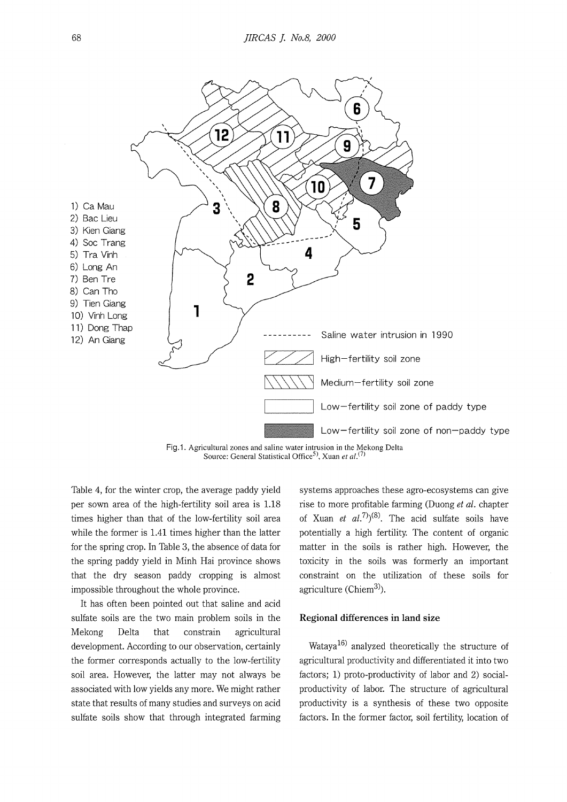

Fig.1. Agricultural zones and saline water intrusion in the Mekong Delta Source: General Statistical Office<sup>5)</sup>, Xuan et al.<sup>(7)</sup>

Table 4, for the winter crop, the average paddy yield per sown area of the high-fertility soil area is 1.18 times higher than that of the low-fertility soil area while the former is 1.41 times higher than the latter for the spring crop. In Table 3, the absence of data for the spring paddy yield in Minh Hai province shows that the dry season paddy cropping is almost impossible throughout the whole province.

It has often been pointed out that saline and acid sulfate soils are the two main problem soils in the Mekong Delta that constrain agricultural development. According to our observation, certainly the former corresponds actually to the low-fertility soil area. However, the latter may not always be associated with low yields any more. We might rather state that results of many studies and surveys on acid sulfate soils show that through integrated farming

systems approaches these agro-ecosystems can give rise to more profitable farming (Duong *et al.* chapter of Xuan *et al.*<sup>7</sup> $)(8)$ . The acid sulfate soils have potentially a high fertility. The content of organic matter in the soils is rather high. However, the toxicity in the soils was formerly an important constraint on the utilization of these soils for agriculture ( $Chiem<sup>3</sup>$ ).

#### **Regional differences in land size**

Wataya $^{16)}$  analyzed theoretically the structure of agricultural productivity and differentiated it into two factors; 1) proto-productivity of labor and 2) socialproductivity of labor. The structure of agricultural productivity is a synthesis of these two opposite factors. In the former factor, soil fertility, location of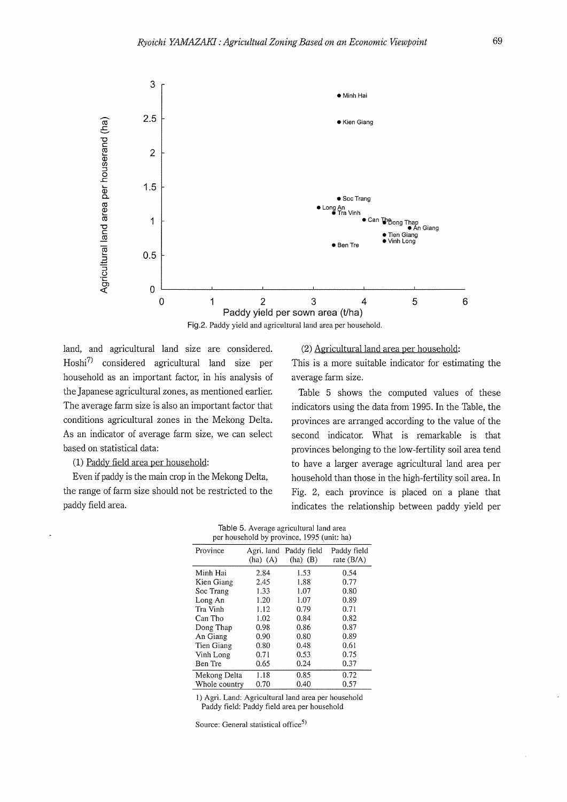

land, and agricultural land size are considered. Hoshi7l considered agricultural land size per household as an important factor, in his analysis of the Japanese agricultural zones, as mentioned earlier. The average farm size is also an important factor that conditions agricultural zones in the Mekong Delta. As an indicator of average farm size, we can select based on statistical data:

(1) Paddy field area per household:

Even if paddy is the main crop in the Mekong Delta, the range of farm size should not be restricted to the paddy field area.

## (2) Agricultural land area per household:

This is a more suitable indicator for estimating the average farm size.

Table 5 shows the computed values of these indicators using the data from 1995. In the Table, the provinces are arranged according to the value of the second indicator. What is remarkable is that provinces belonging to the low-fertility soil area tend to have a larger average agricultural land area per household than those in the high-fertility soil area. In Fig. 2, each province is placed on a plane that indicates the relationship between paddy yield per

| Table 5. Average agricultural land area    |  |
|--------------------------------------------|--|
| per household by province, 1995 (unit: ha) |  |

| Province      | Agri. land<br>$(ha)$ $(A)$ | Paddy field<br>$(ha)$ $(B)$ | Paddy field<br>rate (B/A) |
|---------------|----------------------------|-----------------------------|---------------------------|
| Minh Hai      | 2.84                       | 1.53                        | 0.54                      |
| Kien Giang    | 2.45                       | 1.88                        | 0.77                      |
| Soc Trang     | 1.33                       | 1.07                        | 0.80                      |
| Long An       | 1.20                       | 1.07                        | 0.89                      |
| Tra Vinh      | 1.12                       | 0.79                        | 0.71                      |
| Can Tho       | 1.02                       | 0.84                        | 0.82                      |
| Dong Thap     | 0.98                       | 0.86                        | 0.87                      |
| An Giang      | 0.90                       | 0.80                        | 0.89                      |
| Tien Giang    | 0.80                       | 0.48                        | 0.61                      |
| Vinh Long     | 0.71                       | 0.53                        | 0.75                      |
| Ben Tre       | 0.65                       | 0.24                        | 0.37                      |
| Mekong Delta  | 1.18                       | 0.85                        | 0.72                      |
| Whole country | 0.70                       | 0.40                        | 0.57                      |

1) Agri. Land: Agricultural land area per household Paddy field: Paddy field area per household

Source: General statistical office<sup>5)</sup>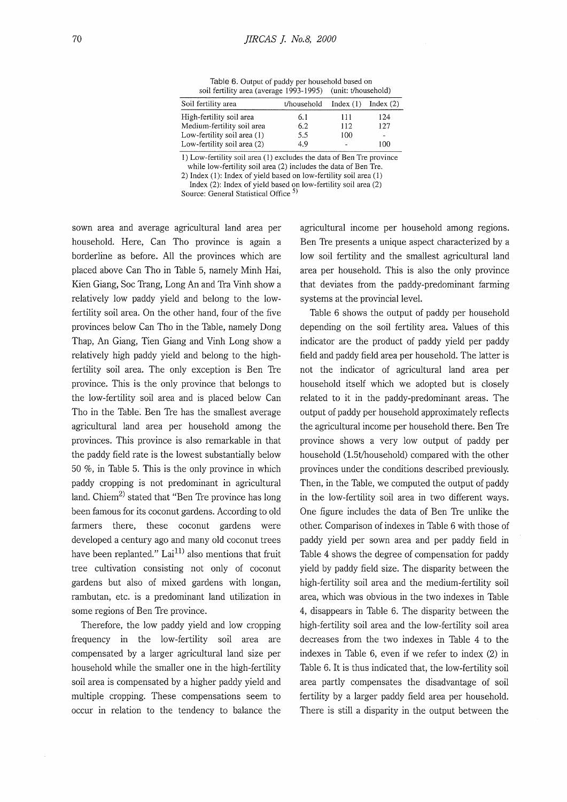Table 6. Output of paddy per household based on soil fertility area (average 1993-1995) (unit: t/household)

| Soil fertility area         | t/household | Index $(1)$ | Index $(2)$    |
|-----------------------------|-------------|-------------|----------------|
| High-fertility soil area    | 6.1         | 111         | 124            |
| Medium-fertility soil area  | 6.2         | 112         | 127            |
| Low-fertility soil area (1) | 5.5         | 100         | $\overline{a}$ |
| Low-fertility soil area (2) | 4 Q         |             | 100            |

1) Low-fertility soil area (1) excludes the data of Ben Tre province while low-fertility soil area (2) includes the data of Ben Tre.

2) Index (I): Index of yield based on low-fertility soil area (I)

Index (2): Index of yield based on low-fertility soil area (2)

Source: General Statistical Office<sup>2</sup>

sown area and average agricultural land area per household. Here, Can Tho province is again a borderline as before. All the provinces which are placed above Can Tho in Table 5, namely Minh Hai, Kien Giang, Soc Trang, Long An and Tra Vinh show a relatively low paddy yield and belong to the lowfertility soil area. On the other hand, four of the five provinces below Can Tho in the Table, namely Dong Thap, An Giang, Tien Giang and Vinh Long show a relatively high paddy yield and belong to the highfertility soil area. The only exception is Ben Tre province. This is the only province that belongs to the low-fertility soil area and is placed below Can Tho in the Table. Ben Tre has the smallest average agricultural land area per household among the provinces. This province is also remarkable in that the paddy field rate is the lowest substantially below 50 %, in Table 5. This is the only province in which paddy cropping is not predominant in agricultural land. Chiem<sup>2)</sup> stated that "Ben Tre province has long been famous for its coconut gardens. According to old farmers there, these coconut gardens were developed a century ago and many old coconut trees have been replanted." Lai<sup>11)</sup> also mentions that fruit tree cultivation consisting not only of coconut gardens but also of mixed gardens with longan, rambutan, etc. is a predominant land utilization in some regions of Ben Tre province.

Therefore, the low paddy yield and low cropping frequency in the low-fertility soil area are compensated by a larger agricultural land size per household while the smaller one in the high-fertility soil area is compensated by a higher paddy yield and multiple cropping. These compensations seem to occur in relation to the tendency to balance the agricultural income per household among regions. Ben Tre presents a unique aspect characterized by a low soil fertility and the smallest agricultural land area per household. This is also the only province that deviates from the paddy-predominant farming systems at the provincial level.

Table 6 shows the output of paddy per household depending on the soil fertility area. Values of this indicator are the product of paddy yield per paddy field and paddy field area per household. The latter is not the indicator of agricultural land area per household itself which we adopted but is closely related to it in the paddy-predominant areas. The output of paddy per household approximately reflects the agricultural income per household there. Ben Tre province shows a very low output of paddy per household (l.5t/household) compared with the other provinces under the conditions described previously. Then, in the Table, we computed the output of paddy in the low-fertility soil area in two different ways. One figure includes the data of Ben Tre unlike the other. Comparison of indexes in Table 6 with those of paddy yield per sown area and per paddy field in Table 4 shows the degree of compensation for paddy yield by paddy field size. The disparity between the high-fertility soil area and the medium-fertility soil area, which was obvious in the two indexes in Table 4, disappears in Table 6. The disparity between the high-fertility soil area and the low-fertility soil area decreases from the two indexes in Table 4 to the indexes in Table 6, even if we refer to index (2) in Table 6. It is thus indicated that, the low-fertility soil area partly compensates the disadvantage of soil fertility by a larger paddy field area per household. There is still a disparity in the output between the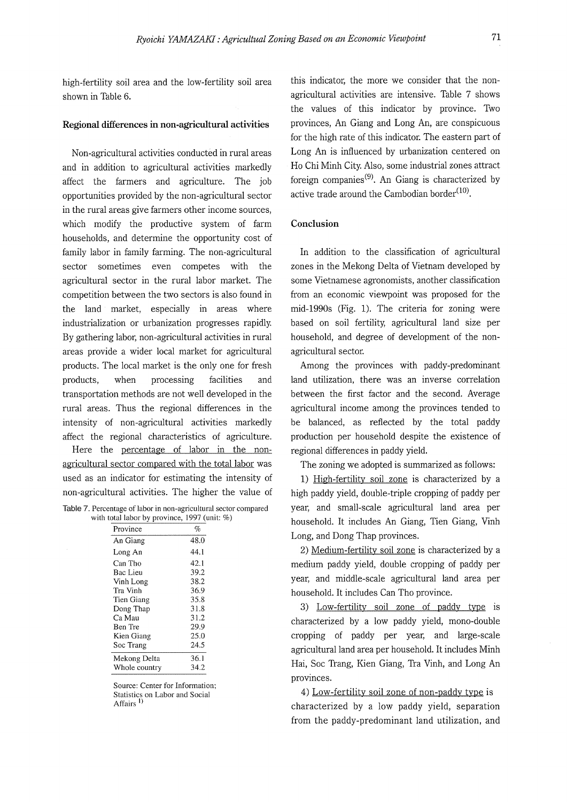high-fertility soil area and the low-fertility soil area shown in Table 6.

#### **Regional differences in non-agricultural activities**

Non-agricultural activities conducted in rural areas and in addition to agricultural activities markedly affect the farmers and agriculture. The job opportunities provided by the non-agricultural sector in the rural areas give farmers other income sources, which modify the productive system of farm households, and determine the opportunity cost of family labor in family farming. The non-agricultural sector sometimes even competes with the agricultural sector in the rural labor market. The competition between the two sectors is also found in the land market, especially in areas where industrialization or urbanization progresses rapidly. By gathering labor, non-agricultural activities in rural areas provide a wider local market for agricultural products. The local market is the only one for fresh products, when processing facilities and transportation methods are not well developed in the rural areas. Thus the regional differences in the intensity of non-agricultural activities markedly affect the regional characteristics of agriculture.

Here the percentage of labor in the nonagricultural sector compared with the total labor was used as an indicator for estimating the intensity of non-agricultural activities. The higher the value of

Table 7. Percentage of labor in non-agricultural sector compared with total labor by province, 1997 (unit: %)

| Province      | $\%$ |
|---------------|------|
| An Giang      | 48.0 |
| Long An       | 44.1 |
| Can Tho       | 42.1 |
| Bac Lieu      | 39.2 |
| Vinh Long     | 38.2 |
| Tra Vinh      | 36.9 |
| Tien Giang    | 35.8 |
| Dong Thap     | 31.8 |
| Ca Mau        | 31.2 |
| Ben Tre       | 29.9 |
| Kien Giang    | 25.0 |
| Soc Trang     | 24.5 |
| Mekong Delta  | 36.1 |
| Whole country | 34.2 |

Source: Center for Information; Statistics on Labor and Social Affairs<sup>1</sup>)

this indicator, the more we consider that the nonagricultural activities are intensive. Table 7 shows the values of this indicator by province. Two provinces, An Giang and Long An, are conspicuous for the high rate of this indicator. The eastern part of Long An is influenced by urbanization centered on Ho Chi Minh City. Also, some industrial zones attract foreign companies<sup>(9)</sup>. An Giang is characterized by active trade around the Cambodian border<sup>(10)</sup>.

#### **Conclusion**

In addition to the classification of agricultural zones in the Mekong Delta of Vietnam developed by some Vietnamese agronomists, another classification from an economic viewpoint was proposed for the mid-1990s (Fig. 1). The criteria for zoning were based on soil fertility, agricultural land size per household, and degree of development of the nonagricultural sector.

Among the provinces with paddy-predominant land utilization, there was an inverse correlation between the first factor and the second. Average agricultural income among the provinces tended to be balanced, as reflected by the total paddy production per household despite the existence of regional differences in paddy yield.

The zoning we adopted is summarized as follows:

1) High-fertility soil zone is characterized by a high paddy yield, double-triple cropping of paddy per year, and small-scale agricultural land area per household. It includes An Giang, Tien Giang, Vinh Long, and Dong Thap provinces.

2) Medium-fertility soil zone is characterized by a medium paddy yield, double cropping of paddy per year, and middle-scale agricultural land area per household. It includes Can Tho province.

3) Low-fertility soil zone of paddy type is characterized by a low paddy yield, mono-double cropping of paddy per year, and large-scale agricultural land area per household. It includes Minh Hai, Soc Trang, Kien Giang, Tra Vinh, and Long An provinces.

4) Low-fertility soil zone of non-paddy type is characterized by a low paddy yield, separation from the paddy-predominant land utilization, and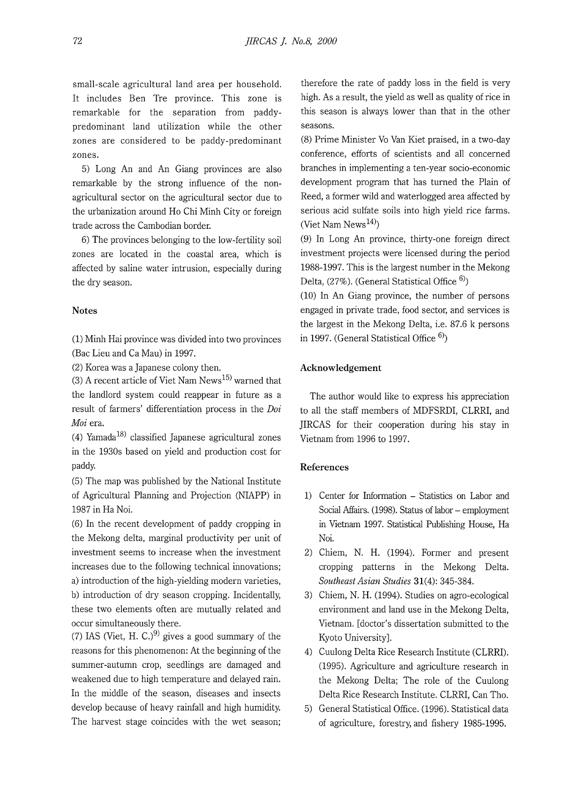small-scale agricultural land area per household. It includes Ben Tre province. This zone is remarkable for the separation from paddypredominant land utilization while the other zones are considered to be paddy-predominant zones.

5) Long An and An Giang provinces are also remarkable by the strong influence of the nonagricultural sector on the agricultural sector due to the urbanization around Ho Chi Minh City or foreign trade across the Cambodian border.

6) The provinces belonging to the low-fertility soil zones are located in the coastal area, which is affected by saline water intrusion, especially during the dry season.

## **Notes**

(1) Minh Hai province was divided into two provinces (Bae Lieu and Ca Mau) in 1997.

(2) Korea was a Japanese colony then.

(3) A recent article of Viet Nam  $News<sup>15)</sup>$  warned that the landlord system could reappear in future as a result of farmers' differentiation process in the *Doi Mai* era.

(4) Yamada<sup>18)</sup> classified Japanese agricultural zones in the 1930s based on yield and production cost for paddy.

(5) The map was published by the National Institute of Agricultural Planning and Projection (NIAPP) in 1987 in Ha Noi.

(6) In the recent development of paddy cropping in the Mekong delta, marginal productivity per unit of investment seems to increase when the investment increases due to the following technical innovations; a) introduction of the high-yielding modern varieties, b) introduction of dry season cropping. Incidentally, these two elements often are mutually related and occur simultaneously there.

(7) IAS (Viet, H. C.)<sup>9)</sup> gives a good summary of the reasons for this phenomenon: At the beginning of the summer-autumn crop, seedlings are damaged and weakened due to high temperature and delayed rain. In the middle of the season, diseases and insects develop because of heavy rainfall and high humidity. The harvest stage coincides with the wet season;

therefore the rate of paddy loss in the field is very high. As a result, the yield as well as quality of rice in this season is always lower than that in the other seasons.

(8) Prime Minister Vo Van Kiet praised, in a two-day conference, efforts of scientists and all concerned branches in implementing a ten-year socio-economic development program that has turned the Plain of Reed, a former wild and waterlogged area affected by serious acid sulfate soils into high yield rice farms. (Viet Nam News $^{14)}$ )

(9) In Long An province, thirty-one foreign direct investment projects were licensed during the period 1988-1997. This is the largest number in the Mekong Delta,  $(27\%)$ . (General Statistical Office  $^{6)}$ )

(10) In An Giang province, the number of persons engaged in private trade, food sector, and services is the largest in the Mekong Delta, i.e. 87.6 k persons in 1997. (General Statistical Office  $6$ )

## **Acknowledgement**

The author would like to express his appreciation to all the staff members of MDFSRDI, CLRRI, and JIRCAS for their cooperation during his stay in Vietnam from 1996 to 1997.

#### **References**

- 1) Center for Information Statistics on Labor and Social Affairs. (1998). Status of labor - employment in Vietnam 1997. Statistical Publishing House, Ha Noi.
- 2) Chiem, N. H. (1994). Former and present cropping patterns in the Mekong Delta. *Southeast Asian Studies* **31(4):** 345-384.
- 3) Chiem, N. H. (1994). Studies on agro-ecological environment and land use in the Mekong Delta, Vietnam. [doctor's dissertation submitted to the Kyoto University].
- 4) Cuulong Delta Rice Research Institute (CLRRI). (1995). Agriculture and agriculture research in the Mekong Delta; The role of the Cuulong Delta Rice Research Institute. CLRRI, Can Tho.
- 5) General Statistical Office. (1996). Statistical data of agriculture, forestry, and fishery 1985-1995.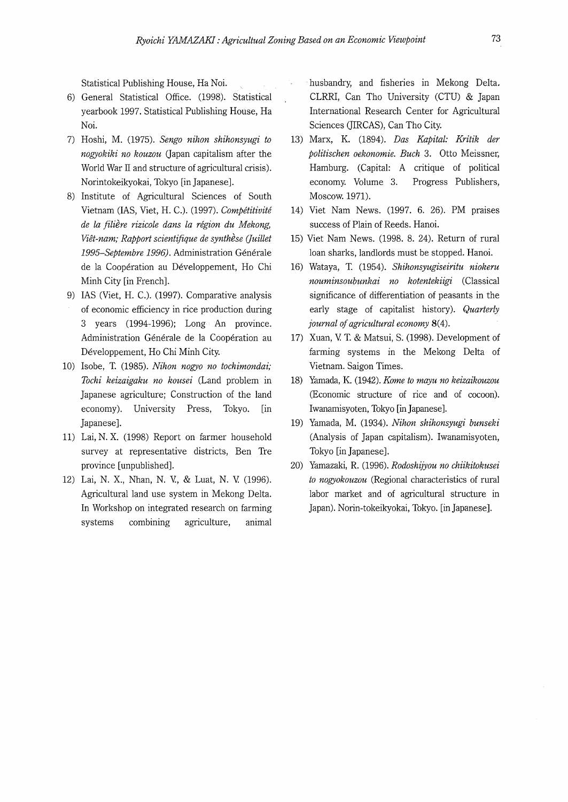Statistical Publishing House, Ha Noi.

- 6) General Statistical Office. (1998). Statistical yearbook 1997. Statistical Publishing House, Ha Noi.
- 7) Hoshi, M. (1975). *Sengo nihon shihonsyugi to nogyokiki no kouzou* Gapan capitalism after the World War II and structure of agricultural crisis). Norintokeikyokai, Tokyo [in Japanese].
- 8) Institute of Agricultural Sciences of South Vietnam (IAS, Viet, H. C.). (1997). *Compititiviti de la filiere rizicole dans la region du Mekong, Viet-nam; Rapport scientifique de synthese (Juillet*  1995-Septembre 1996). Administration Générale de la Cooperation au Developpement, Ho Chi Minh City [in French].
- 9) IAS (Viet, H. C.). (1997). Comparative analysis of economic efficiency in rice production during 3 years (1994-1996); Long An province. Administration Générale de la Coopération au Developpement, Ho Chi Minh City.
- 10) Isobe, T. (1985). *Nihon nogyo no tochimondai; Tochi keizaigaku no kousei* (Land problem in Japanese agriculture; Construction of the land economy). University Press, Tokyo. [in Japanese].
- 11) Lai, N. X. (1998) Report on farmer household survey at representative districts, Ben Tre province [unpublished].
- 12) Lai, N. X., Nhan, N. V., & Luat, N. V. (1996). Agricultural land use system in Mekong Delta. In Workshop on integrated research on farming systems combining agriculture, animal

husbandry, and fisheries in Mekong Delta. CLRRI, Can Tho University (CTU) & Japan International Research Center for Agricultural Sciences (JIRCAS), Can Tho City.

- 13) Marx, K. (1894). *Das Kapital: Kritik der politischen oekonomie. Buch* 3. Otto Meissner, Hamburg. (Capital: A critique of political economy. Volume 3. Progress Publishers, Moscow. 1971).
- 14) Viet Nam News. (1997. 6. 26). PM praises success of Plain of Reeds. Hanoi.
- 15) Viet Nam News. (1998. 8. 24). Return of rural loan sharks, landlords must be stopped. Hanoi.
- 16) Wataya, T. (1954). *Shihonsyugiseiritu niokeru nouminsoubunkai no kotentekiigi* (Classical significance of differentiation of peasants in the early stage of capitalist history). *Quarterly journal of agricultural economy* **8(4).**
- 17) Xuan, V. T. & Matsui, S. (1998). Development of farming systems in the Mekong Delta of Vietnam. Saigon Times.
- 18) Yamada, **K.** (1942). *Kame to mayu no keizaikouzou*  (Economic structure of rice and of cocoon). Iwanamisyoten, Tokyo [inJapanese].
- 19) Yamada, M. (1934). *Nihon shihonsyugi bunseki*  (Analysis of Japan capitalism). Iwanamisyoten, Tokyo [in Japanese].
- 20) Yamazaki, R. (1996). *Rodoshijyou no chiikitokusei to nogyokouzou* (Regional characteristics of rural labor market and of agricultural structure in Japan). Norin-tokeikyokai, Tokyo. [in Japanese].